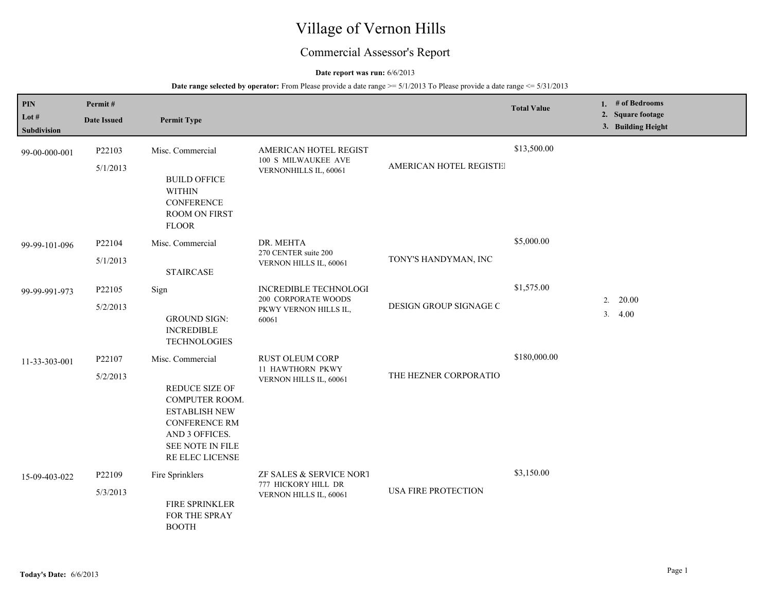# Village of Vernon Hills

# Commercial Assessor's Report

#### **Date report was run:** 6/6/2013

| PIN<br>Lot $#$<br><b>Subdivision</b> | Permit#<br><b>Date Issued</b> | <b>Permit Type</b>                                                                                                                                                   |                                                                                       |                            | <b>Total Value</b> |    | 1. # of Bedrooms<br>2. Square footage<br>3. Building Height |
|--------------------------------------|-------------------------------|----------------------------------------------------------------------------------------------------------------------------------------------------------------------|---------------------------------------------------------------------------------------|----------------------------|--------------------|----|-------------------------------------------------------------|
| 99-00-000-001                        | P22103<br>5/1/2013            | Misc. Commercial<br><b>BUILD OFFICE</b><br><b>WITHIN</b><br><b>CONFERENCE</b><br><b>ROOM ON FIRST</b><br><b>FLOOR</b>                                                | AMERICAN HOTEL REGIST<br>100 S MILWAUKEE AVE<br>VERNONHILLS IL, 60061                 | AMERICAN HOTEL REGISTE     | \$13,500.00        |    |                                                             |
| 99-99-101-096                        | P22104<br>5/1/2013            | Misc. Commercial<br><b>STAIRCASE</b>                                                                                                                                 | DR. MEHTA<br>270 CENTER suite 200<br>VERNON HILLS IL, 60061                           | TONY'S HANDYMAN, INC       | \$5,000.00         |    |                                                             |
| 99-99-991-973                        | P22105<br>5/2/2013            | Sign<br><b>GROUND SIGN:</b><br><b>INCREDIBLE</b><br><b>TECHNOLOGIES</b>                                                                                              | <b>INCREDIBLE TECHNOLOGI</b><br>200 CORPORATE WOODS<br>PKWY VERNON HILLS IL,<br>60061 | DESIGN GROUP SIGNAGE C     | \$1,575.00         | 3. | $2. \quad 20.00$<br>4.00                                    |
| 11-33-303-001                        | P22107<br>5/2/2013            | Misc. Commercial<br>REDUCE SIZE OF<br><b>COMPUTER ROOM.</b><br><b>ESTABLISH NEW</b><br><b>CONFERENCE RM</b><br>AND 3 OFFICES.<br>SEE NOTE IN FILE<br>RE ELEC LICENSE | <b>RUST OLEUM CORP</b><br>11 HAWTHORN PKWY<br>VERNON HILLS IL, 60061                  | THE HEZNER CORPORATIO      | \$180,000.00       |    |                                                             |
| 15-09-403-022                        | P22109<br>5/3/2013            | Fire Sprinklers<br>FIRE SPRINKLER<br>FOR THE SPRAY<br><b>BOOTH</b>                                                                                                   | ZF SALES & SERVICE NORT<br>777 HICKORY HILL DR<br>VERNON HILLS IL, 60061              | <b>USA FIRE PROTECTION</b> | \$3,150.00         |    |                                                             |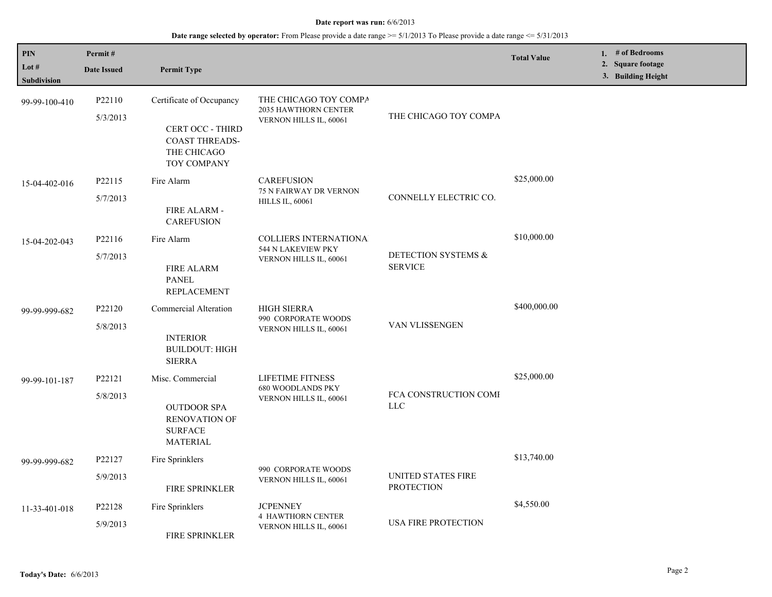| PIN<br>Lot $#$<br><b>Subdivision</b> | Permit#<br><b>Date Issued</b> | <b>Permit Type</b>                                                                                         |                                                                              |                                                | <b>Total Value</b> | 1. $#$ of Bedrooms<br>2. Square footage<br>3. Building Height |
|--------------------------------------|-------------------------------|------------------------------------------------------------------------------------------------------------|------------------------------------------------------------------------------|------------------------------------------------|--------------------|---------------------------------------------------------------|
| 99-99-100-410                        | P22110<br>5/3/2013            | Certificate of Occupancy<br><b>CERT OCC - THIRD</b><br><b>COAST THREADS-</b><br>THE CHICAGO<br>TOY COMPANY | THE CHICAGO TOY COMPA<br>2035 HAWTHORN CENTER<br>VERNON HILLS IL, 60061      | THE CHICAGO TOY COMPA                          |                    |                                                               |
| 15-04-402-016                        | P22115<br>5/7/2013            | Fire Alarm<br>FIRE ALARM -<br><b>CAREFUSION</b>                                                            | <b>CAREFUSION</b><br>75 N FAIRWAY DR VERNON<br><b>HILLS IL, 60061</b>        | CONNELLY ELECTRIC CO.                          | \$25,000.00        |                                                               |
| 15-04-202-043                        | P22116<br>5/7/2013            | Fire Alarm<br><b>FIRE ALARM</b><br><b>PANEL</b><br>REPLACEMENT                                             | <b>COLLIERS INTERNATIONA</b><br>544 N LAKEVIEW PKY<br>VERNON HILLS IL, 60061 | DETECTION SYSTEMS &<br><b>SERVICE</b>          | \$10,000.00        |                                                               |
| 99-99-999-682                        | P22120<br>5/8/2013            | Commercial Alteration<br><b>INTERIOR</b><br><b>BUILDOUT: HIGH</b><br><b>SIERRA</b>                         | <b>HIGH SIERRA</b><br>990 CORPORATE WOODS<br>VERNON HILLS IL, 60061          | VAN VLISSENGEN                                 | \$400,000.00       |                                                               |
| 99-99-101-187                        | P22121<br>5/8/2013            | Misc. Commercial<br><b>OUTDOOR SPA</b><br><b>RENOVATION OF</b><br><b>SURFACE</b><br><b>MATERIAL</b>        | LIFETIME FITNESS<br><b>680 WOODLANDS PKY</b><br>VERNON HILLS IL, 60061       | FCA CONSTRUCTION COME<br>$LLC$                 | \$25,000.00        |                                                               |
| 99-99-999-682                        | P22127<br>5/9/2013            | Fire Sprinklers<br><b>FIRE SPRINKLER</b>                                                                   | 990 CORPORATE WOODS<br>VERNON HILLS IL, 60061                                | <b>UNITED STATES FIRE</b><br><b>PROTECTION</b> | \$13,740.00        |                                                               |
| 11-33-401-018                        | P22128<br>5/9/2013            | Fire Sprinklers<br>FIRE SPRINKLER                                                                          | <b>JCPENNEY</b><br><b>4 HAWTHORN CENTER</b><br>VERNON HILLS IL, 60061        | USA FIRE PROTECTION                            | \$4,550.00         |                                                               |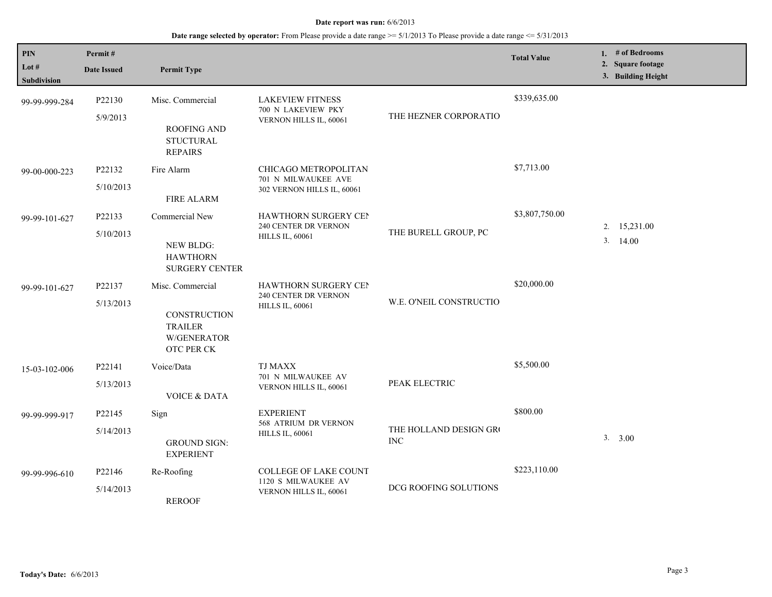| $\mathbf{PIN}$<br>Lot $#$<br><b>Subdivision</b> | Permit#<br><b>Date Issued</b> | <b>Permit Type</b>                                                                     |                                                                               |                                      | <b>Total Value</b> | 1. $#$ of Bedrooms<br>2. Square footage<br>3. Building Height |
|-------------------------------------------------|-------------------------------|----------------------------------------------------------------------------------------|-------------------------------------------------------------------------------|--------------------------------------|--------------------|---------------------------------------------------------------|
| 99-99-999-284                                   | P22130<br>5/9/2013            | Misc. Commercial<br>ROOFING AND<br><b>STUCTURAL</b><br><b>REPAIRS</b>                  | <b>LAKEVIEW FITNESS</b><br>700 N LAKEVIEW PKY<br>VERNON HILLS IL, 60061       | THE HEZNER CORPORATIO                | \$339,635.00       |                                                               |
| 99-00-000-223                                   | P22132<br>5/10/2013           | Fire Alarm<br><b>FIRE ALARM</b>                                                        | CHICAGO METROPOLITAN<br>701 N MILWAUKEE AVE<br>302 VERNON HILLS IL, 60061     |                                      | \$7,713.00         |                                                               |
| 99-99-101-627                                   | P22133<br>5/10/2013           | Commercial New<br><b>NEW BLDG:</b><br><b>HAWTHORN</b><br><b>SURGERY CENTER</b>         | HAWTHORN SURGERY CEN<br>240 CENTER DR VERNON<br><b>HILLS IL, 60061</b>        | THE BURELL GROUP, PC                 | \$3,807,750.00     | 2. 15,231.00<br>3.14.00                                       |
| 99-99-101-627                                   | P22137<br>5/13/2013           | Misc. Commercial<br>CONSTRUCTION<br><b>TRAILER</b><br>W/GENERATOR<br><b>OTC PER CK</b> | <b>HAWTHORN SURGERY CEN</b><br>240 CENTER DR VERNON<br><b>HILLS IL, 60061</b> | W.E. O'NEIL CONSTRUCTIO              | \$20,000.00        |                                                               |
| 15-03-102-006                                   | P22141<br>5/13/2013           | Voice/Data<br><b>VOICE &amp; DATA</b>                                                  | <b>TJ MAXX</b><br>701 N MILWAUKEE AV<br>VERNON HILLS IL, 60061                | PEAK ELECTRIC                        | \$5,500.00         |                                                               |
| 99-99-999-917                                   | P22145<br>5/14/2013           | Sign<br><b>GROUND SIGN:</b><br><b>EXPERIENT</b>                                        | <b>EXPERIENT</b><br>568 ATRIUM DR VERNON<br><b>HILLS IL, 60061</b>            | THE HOLLAND DESIGN GRO<br><b>INC</b> | \$800.00           | 3. 3.00                                                       |
| 99-99-996-610                                   | P22146<br>5/14/2013           | Re-Roofing<br><b>REROOF</b>                                                            | <b>COLLEGE OF LAKE COUNT</b><br>1120 S MILWAUKEE AV<br>VERNON HILLS IL, 60061 | DCG ROOFING SOLUTIONS                | \$223,110.00       |                                                               |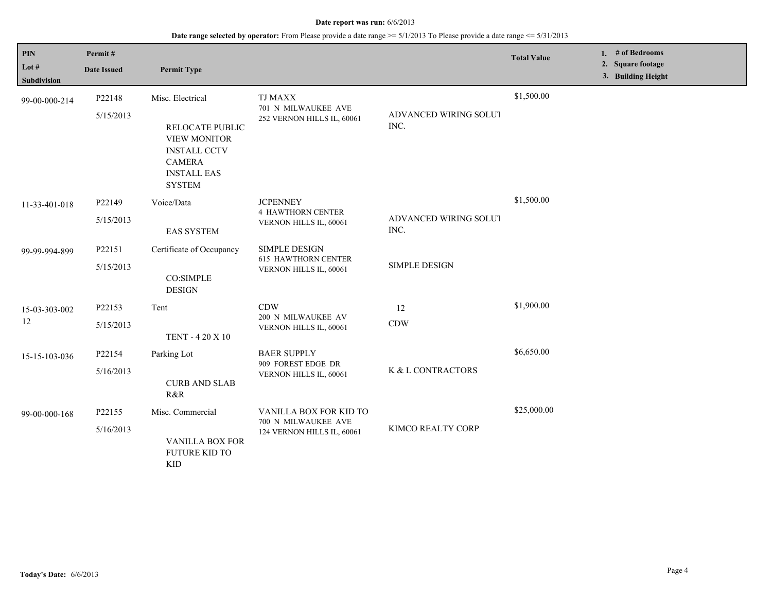# **Date range selected by operator:** From Please provide a date range >= 5/1/2013 To Please provide a date range <= 5/31/2013

| PIN<br>Lot #<br><b>Subdivision</b> | Permit#<br><b>Date Issued</b> | <b>Permit Type</b>                                                                                                                        |                                                                              |                               | <b>Total Value</b> | 1. $#$ of Bedrooms<br>2. Square footage<br>3. Building Height |
|------------------------------------|-------------------------------|-------------------------------------------------------------------------------------------------------------------------------------------|------------------------------------------------------------------------------|-------------------------------|--------------------|---------------------------------------------------------------|
| 99-00-000-214                      | P22148<br>5/15/2013           | Misc. Electrical<br>RELOCATE PUBLIC<br><b>VIEW MONITOR</b><br><b>INSTALL CCTV</b><br><b>CAMERA</b><br><b>INSTALL EAS</b><br><b>SYSTEM</b> | <b>TJ MAXX</b><br>701 N MILWAUKEE AVE<br>252 VERNON HILLS IL, 60061          | ADVANCED WIRING SOLUT<br>INC. | \$1,500.00         |                                                               |
| 11-33-401-018                      | P22149<br>5/15/2013           | Voice/Data<br><b>EAS SYSTEM</b>                                                                                                           | <b>JCPENNEY</b><br><b>4 HAWTHORN CENTER</b><br>VERNON HILLS IL, 60061        | ADVANCED WIRING SOLUT<br>INC. | \$1,500.00         |                                                               |
| 99-99-994-899                      | P22151<br>5/15/2013           | Certificate of Occupancy<br>CO:SIMPLE<br><b>DESIGN</b>                                                                                    | <b>SIMPLE DESIGN</b><br><b>615 HAWTHORN CENTER</b><br>VERNON HILLS IL, 60061 | <b>SIMPLE DESIGN</b>          |                    |                                                               |
| 15-03-303-002<br>12                | P22153<br>5/15/2013           | Tent<br><b>TENT - 4 20 X 10</b>                                                                                                           | <b>CDW</b><br>200 N MILWAUKEE AV<br>VERNON HILLS IL, 60061                   | 12<br><b>CDW</b>              | \$1,900.00         |                                                               |
| 15-15-103-036                      | P22154<br>5/16/2013           | Parking Lot<br><b>CURB AND SLAB</b><br>R&R                                                                                                | <b>BAER SUPPLY</b><br>909 FOREST EDGE DR<br>VERNON HILLS IL, 60061           | K & L CONTRACTORS             | \$6,650.00         |                                                               |
| 99-00-000-168                      | P22155<br>5/16/2013           | Misc. Commercial<br>VANILLA BOX FOR<br><b>FUTURE KID TO</b><br><b>KID</b>                                                                 | VANILLA BOX FOR KID TO<br>700 N MILWAUKEE AVE<br>124 VERNON HILLS IL, 60061  | KIMCO REALTY CORP             | \$25,000.00        |                                                               |

L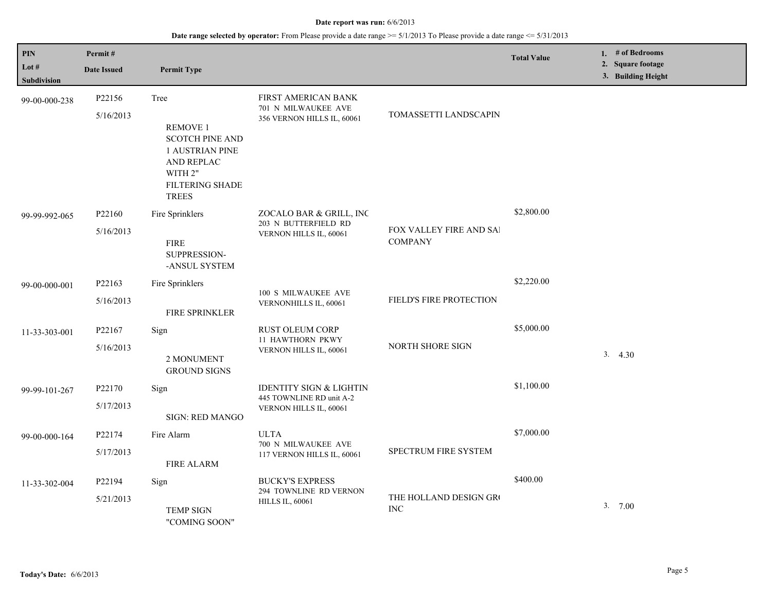| <b>PIN</b><br>Lot $#$<br><b>Subdivision</b> | Permit#<br><b>Date Issued</b>   | <b>Permit Type</b>                                                                                                                      |                                                                                          |                                           | <b>Total Value</b> | 1. # of Bedrooms<br>2. Square footage<br>3. Building Height |
|---------------------------------------------|---------------------------------|-----------------------------------------------------------------------------------------------------------------------------------------|------------------------------------------------------------------------------------------|-------------------------------------------|--------------------|-------------------------------------------------------------|
| 99-00-000-238                               | P22156<br>5/16/2013             | Tree<br><b>REMOVE 1</b><br><b>SCOTCH PINE AND</b><br><b>1 AUSTRIAN PINE</b><br>AND REPLAC<br>WITH 2"<br>FILTERING SHADE<br><b>TREES</b> | FIRST AMERICAN BANK<br>701 N MILWAUKEE AVE<br>356 VERNON HILLS IL, 60061                 | TOMASSETTI LANDSCAPIN                     |                    |                                                             |
| 99-99-992-065                               | P22160<br>5/16/2013             | Fire Sprinklers<br><b>FIRE</b><br>SUPPRESSION-<br>-ANSUL SYSTEM                                                                         | ZOCALO BAR & GRILL, INC<br>203 N BUTTERFIELD RD<br>VERNON HILLS IL, 60061                | FOX VALLEY FIRE AND SAI<br><b>COMPANY</b> | \$2,800.00         |                                                             |
| 99-00-000-001                               | P22163<br>5/16/2013             | Fire Sprinklers<br><b>FIRE SPRINKLER</b>                                                                                                | 100 S MILWAUKEE AVE<br>VERNONHILLS IL, 60061                                             | FIELD'S FIRE PROTECTION                   | \$2,220.00         |                                                             |
| 11-33-303-001                               | P <sub>22167</sub><br>5/16/2013 | Sign<br>2 MONUMENT<br><b>GROUND SIGNS</b>                                                                                               | <b>RUST OLEUM CORP</b><br><b>11 HAWTHORN PKWY</b><br>VERNON HILLS IL, 60061              | NORTH SHORE SIGN                          | \$5,000.00         | 3.4.30                                                      |
| 99-99-101-267                               | P22170<br>5/17/2013             | Sign<br>SIGN: RED MANGO                                                                                                                 | <b>IDENTITY SIGN &amp; LIGHTIN</b><br>445 TOWNLINE RD unit A-2<br>VERNON HILLS IL, 60061 |                                           | \$1,100.00         |                                                             |
| 99-00-000-164                               | P22174<br>5/17/2013             | Fire Alarm<br><b>FIRE ALARM</b>                                                                                                         | <b>ULTA</b><br>700 N MILWAUKEE AVE<br>117 VERNON HILLS IL, 60061                         | SPECTRUM FIRE SYSTEM                      | \$7,000.00         |                                                             |
| 11-33-302-004                               | P22194<br>5/21/2013             | Sign<br><b>TEMP SIGN</b><br>"COMING SOON"                                                                                               | <b>BUCKY'S EXPRESS</b><br>294 TOWNLINE RD VERNON<br><b>HILLS IL, 60061</b>               | THE HOLLAND DESIGN GRO<br><b>INC</b>      | \$400.00           | 3.700                                                       |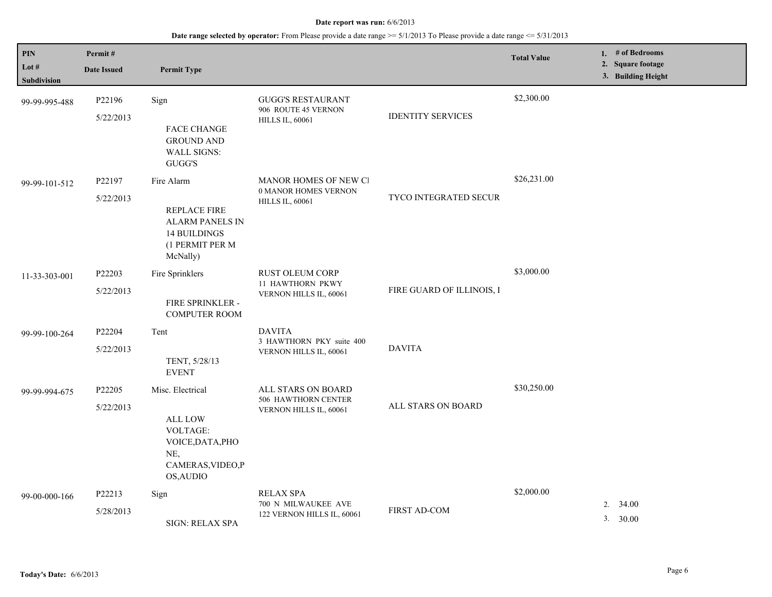| <b>PIN</b><br>Lot $#$<br>Subdivision | Permit#<br><b>Date Issued</b> | <b>Permit Type</b>                                                                                                 |                                                                           |                           | <b>Total Value</b> | 1. # of Bedrooms<br>2. Square footage<br>3. Building Height |
|--------------------------------------|-------------------------------|--------------------------------------------------------------------------------------------------------------------|---------------------------------------------------------------------------|---------------------------|--------------------|-------------------------------------------------------------|
| 99-99-995-488                        | P22196<br>5/22/2013           | Sign<br><b>FACE CHANGE</b><br><b>GROUND AND</b><br><b>WALL SIGNS:</b><br>GUGG'S                                    | <b>GUGG'S RESTAURANT</b><br>906 ROUTE 45 VERNON<br><b>HILLS IL, 60061</b> | <b>IDENTITY SERVICES</b>  | \$2,300.00         |                                                             |
| 99-99-101-512                        | P22197<br>5/22/2013           | Fire Alarm<br>REPLACE FIRE<br><b>ALARM PANELS IN</b><br><b>14 BUILDINGS</b><br>(1 PERMIT PER M<br>McNally)         | MANOR HOMES OF NEW CI<br>0 MANOR HOMES VERNON<br><b>HILLS IL, 60061</b>   | TYCO INTEGRATED SECUR     | \$26,231.00        |                                                             |
| 11-33-303-001                        | P22203<br>5/22/2013           | Fire Sprinklers<br>FIRE SPRINKLER -<br><b>COMPUTER ROOM</b>                                                        | <b>RUST OLEUM CORP</b><br>11 HAWTHORN PKWY<br>VERNON HILLS IL, 60061      | FIRE GUARD OF ILLINOIS, I | \$3,000.00         |                                                             |
| 99-99-100-264                        | P22204<br>5/22/2013           | Tent<br>TENT, 5/28/13<br><b>EVENT</b>                                                                              | <b>DAVITA</b><br>3 HAWTHORN PKY suite 400<br>VERNON HILLS IL, 60061       | <b>DAVITA</b>             |                    |                                                             |
| 99-99-994-675                        | P22205<br>5/22/2013           | Misc. Electrical<br><b>ALL LOW</b><br><b>VOLTAGE:</b><br>VOICE, DATA, PHO<br>NE,<br>CAMERAS, VIDEO, P<br>OS, AUDIO | ALL STARS ON BOARD<br>506 HAWTHORN CENTER<br>VERNON HILLS IL, 60061       | ALL STARS ON BOARD        | \$30,250.00        |                                                             |
| 99-00-000-166                        | P22213<br>5/28/2013           | Sign<br><b>SIGN: RELAX SPA</b>                                                                                     | <b>RELAX SPA</b><br>700 N MILWAUKEE AVE<br>122 VERNON HILLS IL, 60061     | FIRST AD-COM              | \$2,000.00         | 2.<br>34.00<br>3. 30.00                                     |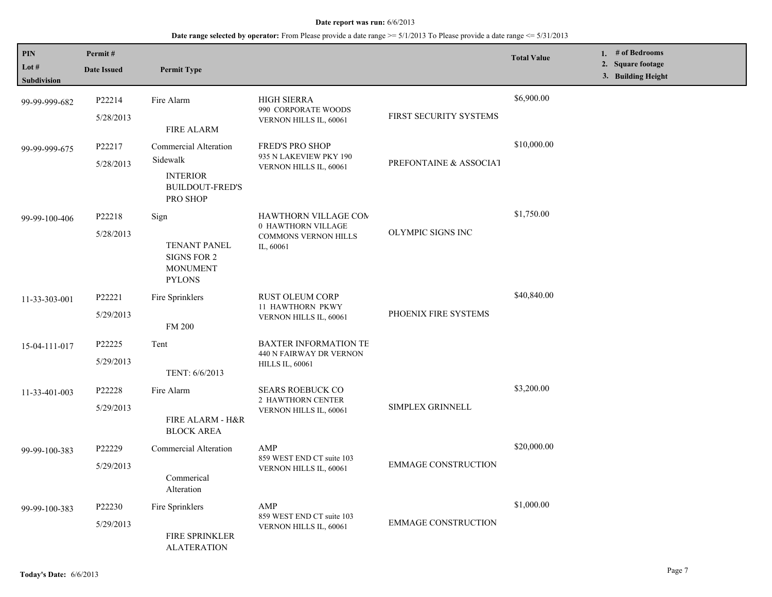| <b>PIN</b><br>Lot $#$<br>Subdivision | Permit#<br><b>Date Issued</b> | <b>Permit Type</b>                                                                                                     |                                                                                               |                            | <b>Total Value</b> | 1. # of Bedrooms<br>2. Square footage<br>3. Building Height |
|--------------------------------------|-------------------------------|------------------------------------------------------------------------------------------------------------------------|-----------------------------------------------------------------------------------------------|----------------------------|--------------------|-------------------------------------------------------------|
| 99-99-999-682                        | P22214<br>5/28/2013           | Fire Alarm                                                                                                             | <b>HIGH SIERRA</b><br>990 CORPORATE WOODS<br>VERNON HILLS IL, 60061                           | FIRST SECURITY SYSTEMS     | \$6,900.00         |                                                             |
| 99-99-999-675                        | P22217<br>5/28/2013           | <b>FIRE ALARM</b><br>Commercial Alteration<br>Sidewalk<br><b>INTERIOR</b><br><b>BUILDOUT-FRED'S</b><br><b>PRO SHOP</b> | <b>FRED'S PRO SHOP</b><br>935 N LAKEVIEW PKY 190<br>VERNON HILLS IL, 60061                    | PREFONTAINE & ASSOCIAT     | \$10,000.00        |                                                             |
| 99-99-100-406                        | P22218<br>5/28/2013           | Sign<br><b>TENANT PANEL</b><br><b>SIGNS FOR 2</b><br><b>MONUMENT</b><br><b>PYLONS</b>                                  | <b>HAWTHORN VILLAGE COM</b><br>0 HAWTHORN VILLAGE<br><b>COMMONS VERNON HILLS</b><br>IL, 60061 | OLYMPIC SIGNS INC          | \$1,750.00         |                                                             |
| 11-33-303-001                        | P22221<br>5/29/2013           | Fire Sprinklers<br><b>FM 200</b>                                                                                       | RUST OLEUM CORP<br>11 HAWTHORN PKWY<br>VERNON HILLS IL, 60061                                 | PHOENIX FIRE SYSTEMS       | \$40,840.00        |                                                             |
| 15-04-111-017                        | P22225<br>5/29/2013           | Tent<br>TENT: 6/6/2013                                                                                                 | <b>BAXTER INFORMATION TE</b><br>440 N FAIRWAY DR VERNON<br><b>HILLS IL, 60061</b>             |                            |                    |                                                             |
| 11-33-401-003                        | P22228<br>5/29/2013           | Fire Alarm<br>FIRE ALARM - H&R<br><b>BLOCK AREA</b>                                                                    | <b>SEARS ROEBUCK CO</b><br>2 HAWTHORN CENTER<br>VERNON HILLS IL, 60061                        | <b>SIMPLEX GRINNELL</b>    | \$3,200.00         |                                                             |
| 99-99-100-383                        | P22229<br>5/29/2013           | Commercial Alteration<br>Commerical<br>Alteration                                                                      | AMP<br>859 WEST END CT suite 103<br>VERNON HILLS IL, 60061                                    | <b>EMMAGE CONSTRUCTION</b> | \$20,000.00        |                                                             |
| 99-99-100-383                        | P22230<br>5/29/2013           | Fire Sprinklers<br><b>FIRE SPRINKLER</b><br><b>ALATERATION</b>                                                         | AMP<br>859 WEST END CT suite 103<br>VERNON HILLS IL, 60061                                    | <b>EMMAGE CONSTRUCTION</b> | \$1,000.00         |                                                             |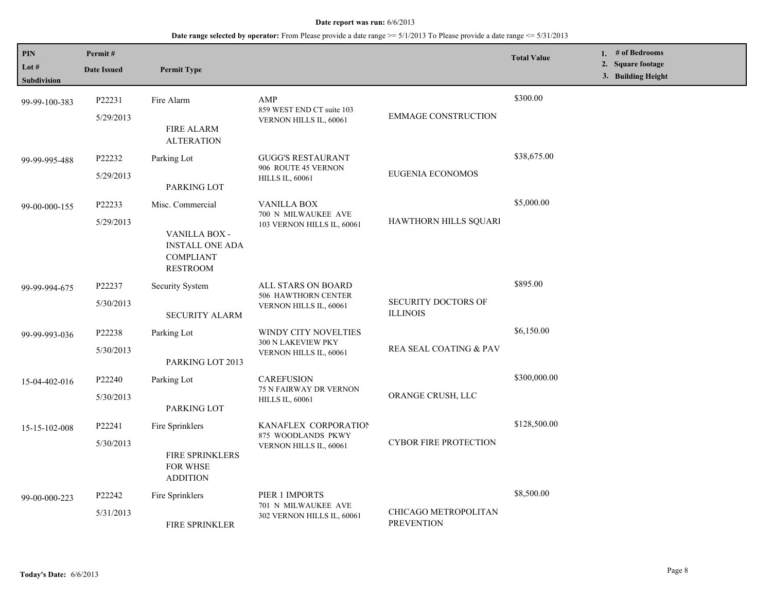| PIN<br>Lot #<br><b>Subdivision</b> | Permit#<br><b>Date Issued</b> | <b>Permit Type</b>                                                                                 |                                                                            |                                               | <b>Total Value</b> | 1. $#$ of Bedrooms<br>2. Square footage<br>3. Building Height |
|------------------------------------|-------------------------------|----------------------------------------------------------------------------------------------------|----------------------------------------------------------------------------|-----------------------------------------------|--------------------|---------------------------------------------------------------|
| 99-99-100-383                      | P22231<br>5/29/2013           | Fire Alarm<br><b>FIRE ALARM</b><br><b>ALTERATION</b>                                               | AMP<br>859 WEST END CT suite 103<br>VERNON HILLS IL, 60061                 | <b>EMMAGE CONSTRUCTION</b>                    | \$300.00           |                                                               |
| 99-99-995-488                      | P22232<br>5/29/2013           | Parking Lot<br>PARKING LOT                                                                         | <b>GUGG'S RESTAURANT</b><br>906 ROUTE 45 VERNON<br><b>HILLS IL, 60061</b>  | <b>EUGENIA ECONOMOS</b>                       | \$38,675.00        |                                                               |
| 99-00-000-155                      | P22233<br>5/29/2013           | Misc. Commercial<br>VANILLA BOX -<br><b>INSTALL ONE ADA</b><br><b>COMPLIANT</b><br><b>RESTROOM</b> | <b>VANILLA BOX</b><br>700 N MILWAUKEE AVE<br>103 VERNON HILLS IL, 60061    | HAWTHORN HILLS SQUARI                         | \$5,000.00         |                                                               |
| 99-99-994-675                      | P22237<br>5/30/2013           | Security System<br><b>SECURITY ALARM</b>                                                           | ALL STARS ON BOARD<br><b>506 HAWTHORN CENTER</b><br>VERNON HILLS IL, 60061 | <b>SECURITY DOCTORS OF</b><br><b>ILLINOIS</b> | \$895.00           |                                                               |
| 99-99-993-036                      | P22238<br>5/30/2013           | Parking Lot<br>PARKING LOT 2013                                                                    | WINDY CITY NOVELTIES<br>300 N LAKEVIEW PKY<br>VERNON HILLS IL, 60061       | REA SEAL COATING & PAV                        | \$6,150.00         |                                                               |
| 15-04-402-016                      | P22240<br>5/30/2013           | Parking Lot<br>PARKING LOT                                                                         | <b>CAREFUSION</b><br>75 N FAIRWAY DR VERNON<br><b>HILLS IL, 60061</b>      | ORANGE CRUSH, LLC                             | \$300,000.00       |                                                               |
| 15-15-102-008                      | P22241<br>5/30/2013           | Fire Sprinklers<br><b>FIRE SPRINKLERS</b><br>FOR WHSE<br><b>ADDITION</b>                           | KANAFLEX CORPORATION<br>875 WOODLANDS PKWY<br>VERNON HILLS IL, 60061       | <b>CYBOR FIRE PROTECTION</b>                  | \$128,500.00       |                                                               |
| 99-00-000-223                      | P22242<br>5/31/2013           | Fire Sprinklers<br><b>FIRE SPRINKLER</b>                                                           | PIER 1 IMPORTS<br>701 N MILWAUKEE AVE<br>302 VERNON HILLS IL, 60061        | CHICAGO METROPOLITAN<br><b>PREVENTION</b>     | \$8,500.00         |                                                               |